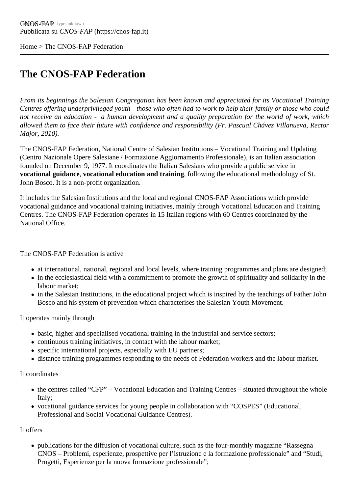Home> The CNOS-FAP Federation

## [The](https://cnos-fap.it/) CNOS-FAP Federation

From its beginnings the Salesian Congregation has been known and appreciated for its Vocational Training Centres offering underprivileged youth - those who often had to work to help their family or those who could not receive an education - a human development and a quality preparation for the world of work, which allowed them to face their future with confidence and responsibility (Fr. Pascual Chávez Villanueva, Rector Major, 2010).

The CNOS-FAP Federation, National Centre of Salesian Institutions – Vocational Training and Updating (Centro Nazionale Opere Salesiane / Formazione Aggiornamento Professionale), is an Italian association founded on December 9, 1977. It coordinates the Italian Salesians who provide a public service in vocational guidance vocational education and training following the educational methodology of St. John Bosco. It is a non-profit organization.

It includes the Salesian Institutions and the local and regional CNOS-FAP Associations which provide vocational guidance and vocational training initiatives, mainly through Vocational Education and Training Centres. The CNOS-FAP Federation operates in 15 Italian regions with 60 Centres coordinated by the National Office.

The CNOS-FAP Federation is active

- at international, national, regional and local levels, where training programmes and plans are designed;
- in the ecclesiastical field with a commitment to promote the growth of spirituality and solidarity in the labour market;
- in the Salesian Institutions, in the educational project which is inspired by the teachings of Father John Bosco and his system of prevention which characterises the Salesian Youth Movement.

It operates mainly through

- basic, higher and specialised vocational training in the industrial and service sectors;
- continuous training initiatives, in contact with the labour market;
- specific international projects, especially with EU partners;
- distance training programmes responding to the needs of Federation workers and the labour market.

It coordinates

- the centres called "CFP" Vocational Education and Training Centres situated throughout the whole Italy;
- vocational guidance services for young people in collaboration with "COSPES" (Educational, Professional and Social Vocational Guidance Centres).

It offers

publications for the diffusion of vocational culture, such as the four-monthly magazine "Rassegna CNOS – Problemi, esperienze, prospettive per l'istruzione e la formazione professionale" and "Studi, Progetti, Esperienze per la nuova formazione professionale";